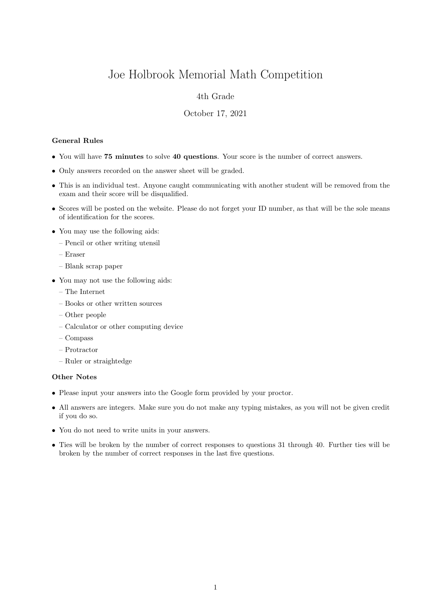# Joe Holbrook Memorial Math Competition

## 4th Grade

#### October 17, 2021

### General Rules

- You will have 75 minutes to solve 40 questions. Your score is the number of correct answers.
- Only answers recorded on the answer sheet will be graded.
- This is an individual test. Anyone caught communicating with another student will be removed from the exam and their score will be disqualified.
- Scores will be posted on the website. Please do not forget your ID number, as that will be the sole means of identification for the scores.
- You may use the following aids:
	- Pencil or other writing utensil
	- Eraser
	- Blank scrap paper
- You may not use the following aids:
	- The Internet
	- Books or other written sources
	- Other people
	- Calculator or other computing device
	- Compass
	- Protractor
	- Ruler or straightedge

#### Other Notes

- Please input your answers into the Google form provided by your proctor.
- All answers are integers. Make sure you do not make any typing mistakes, as you will not be given credit if you do so.
- You do not need to write units in your answers.
- Ties will be broken by the number of correct responses to questions 31 through 40. Further ties will be broken by the number of correct responses in the last five questions.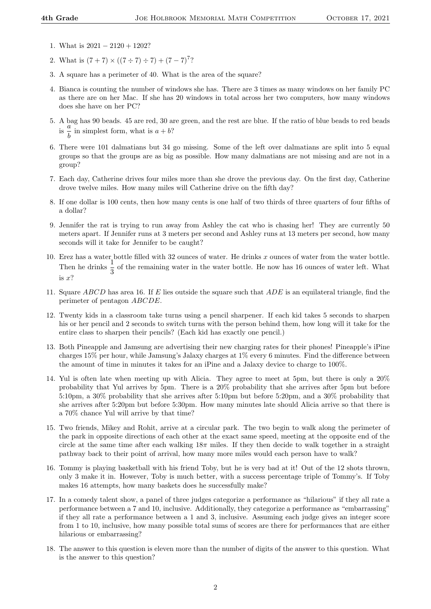- 1. What is 2021 − 2120 + 1202?
- 2. What is  $(7+7) \times ((7 \div 7) \div 7) + (7-7)^7$ ?
- 3. A square has a perimeter of 40. What is the area of the square?
- 4. Bianca is counting the number of windows she has. There are 3 times as many windows on her family PC as there are on her Mac. If she has 20 windows in total across her two computers, how many windows does she have on her PC?
- 5. A bag has 90 beads. 45 are red, 30 are green, and the rest are blue. If the ratio of blue beads to red beads  $\frac{a}{\text{is}} \frac{a}{\tau}$  $\frac{a}{b}$  in simplest form, what is  $a + b$ ?
- 6. There were 101 dalmatians but 34 go missing. Some of the left over dalmatians are split into 5 equal groups so that the groups are as big as possible. How many dalmatians are not missing and are not in a group?
- 7. Each day, Catherine drives four miles more than she drove the previous day. On the first day, Catherine drove twelve miles. How many miles will Catherine drive on the fifth day?
- 8. If one dollar is 100 cents, then how many cents is one half of two thirds of three quarters of four fifths of a dollar?
- 9. Jennifer the rat is trying to run away from Ashley the cat who is chasing her! They are currently 50 meters apart. If Jennifer runs at 3 meters per second and Ashley runs at 13 meters per second, how many seconds will it take for Jennifer to be caught?
- 10. Erez has a water bottle filled with 32 ounces of water. He drinks x ounces of water from the water bottle. Then he drinks  $\frac{1}{3}$  of the remaining water in the water bottle. He now has 16 ounces of water left. What is x?
- 11. Square ABCD has area 16. If E lies outside the square such that ADE is an equilateral triangle, find the perimeter of pentagon ABCDE.
- 12. Twenty kids in a classroom take turns using a pencil sharpener. If each kid takes 5 seconds to sharpen his or her pencil and 2 seconds to switch turns with the person behind them, how long will it take for the entire class to sharpen their pencils? (Each kid has exactly one pencil.)
- 13. Both Pineapple and Jamsung are advertising their new charging rates for their phones! Pineapple's iPine charges 15% per hour, while Jamsung's Jalaxy charges at 1% every 6 minutes. Find the difference between the amount of time in minutes it takes for an iPine and a Jalaxy device to charge to 100%.
- 14. Yul is often late when meeting up with Alicia. They agree to meet at 5pm, but there is only a 20% probability that Yul arrives by 5pm. There is a 20% probability that she arrives after 5pm but before 5:10pm, a 30% probability that she arrives after 5:10pm but before 5:20pm, and a 30% probability that she arrives after 5:20pm but before 5:30pm. How many minutes late should Alicia arrive so that there is a 70% chance Yul will arrive by that time?
- 15. Two friends, Mikey and Rohit, arrive at a circular park. The two begin to walk along the perimeter of the park in opposite directions of each other at the exact same speed, meeting at the opposite end of the circle at the same time after each walking  $18\pi$  miles. If they then decide to walk together in a straight pathway back to their point of arrival, how many more miles would each person have to walk?
- 16. Tommy is playing basketball with his friend Toby, but he is very bad at it! Out of the 12 shots thrown, only 3 make it in. However, Toby is much better, with a success percentage triple of Tommy's. If Toby makes 16 attempts, how many baskets does he successfully make?
- 17. In a comedy talent show, a panel of three judges categorize a performance as "hilarious" if they all rate a performance between a 7 and 10, inclusive. Additionally, they categorize a performance as "embarrassing" if they all rate a performance between a 1 and 3, inclusive. Assuming each judge gives an integer score from 1 to 10, inclusive, how many possible total sums of scores are there for performances that are either hilarious or embarrassing?
- 18. The answer to this question is eleven more than the number of digits of the answer to this question. What is the answer to this question?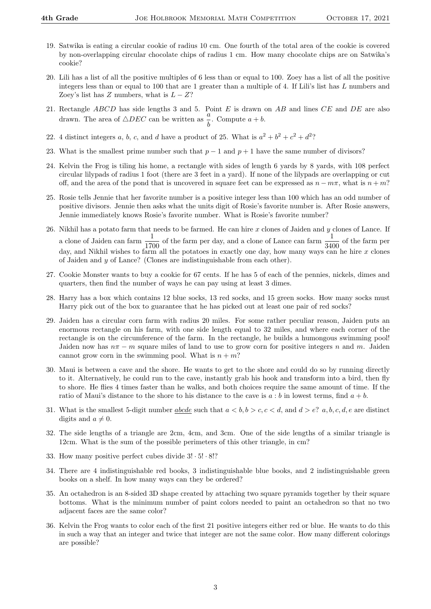- 19. Satwika is eating a circular cookie of radius 10 cm. One fourth of the total area of the cookie is covered by non-overlapping circular chocolate chips of radius 1 cm. How many chocolate chips are on Satwika's cookie?
- 20. Lili has a list of all the positive multiples of 6 less than or equal to 100. Zoey has a list of all the positive integers less than or equal to 100 that are 1 greater than a multiple of 4. If Lili's list has L numbers and Zoey's list has Z numbers, what is  $L - Z$ ?
- 21. Rectangle  $ABCD$  has side lengths 3 and 5. Point E is drawn on  $AB$  and lines  $CE$  and  $DE$  are also drawn. The area of  $\triangle DEC$  can be written as  $\frac{a}{b}$ . Compute  $a + b$ .
- 22. 4 distinct integers a, b, c, and d have a product of 25. What is  $a^2 + b^2 + c^2 + d^2$ ?
- 23. What is the smallest prime number such that  $p-1$  and  $p+1$  have the same number of divisors?
- 24. Kelvin the Frog is tiling his home, a rectangle with sides of length 6 yards by 8 yards, with 108 perfect circular lilypads of radius 1 foot (there are 3 feet in a yard). If none of the lilypads are overlapping or cut off, and the area of the pond that is uncovered in square feet can be expressed as  $n - m\pi$ , what is  $n + m$ ?
- 25. Rosie tells Jennie that her favorite number is a positive integer less than 100 which has an odd number of positive divisors. Jennie then asks what the units digit of Rosie's favorite number is. After Rosie answers, Jennie immediately knows Rosie's favorite number. What is Rosie's favorite number?
- 26. Nikhil has a potato farm that needs to be farmed. He can hire  $x$  clones of Jaiden and  $y$  clones of Lance. If a clone of Jaiden can farm  $\frac{1}{1700}$  of the farm per day, and a clone of Lance can farm  $\frac{1}{3400}$  of the farm per day, and Nikhil wishes to farm all the potatoes in exactly one day, how many ways can he hire  $x$  clones of Jaiden and y of Lance? (Clones are indistinguishable from each other).
- 27. Cookie Monster wants to buy a cookie for 67 cents. If he has 5 of each of the pennies, nickels, dimes and quarters, then find the number of ways he can pay using at least 3 dimes.
- 28. Harry has a box which contains 12 blue socks, 13 red socks, and 15 green socks. How many socks must Harry pick out of the box to guarantee that he has picked out at least one pair of red socks?
- 29. Jaiden has a circular corn farm with radius 20 miles. For some rather peculiar reason, Jaiden puts an enormous rectangle on his farm, with one side length equal to 32 miles, and where each corner of the rectangle is on the circumference of the farm. In the rectangle, he builds a humongous swimming pool! Jaiden now has  $n\pi - m$  square miles of land to use to grow corn for positive integers n and m. Jaiden cannot grow corn in the swimming pool. What is  $n + m$ ?
- 30. Maui is between a cave and the shore. He wants to get to the shore and could do so by running directly to it. Alternatively, he could run to the cave, instantly grab his hook and transform into a bird, then fly to shore. He flies 4 times faster than he walks, and both choices require the same amount of time. If the ratio of Maui's distance to the shore to his distance to the cave is  $a : b$  in lowest terms, find  $a + b$ .
- 31. What is the smallest 5-digit number <u>abcde</u> such that  $a < b, b > c, c < d$ , and  $d > e$ ? a, b, c, d, e are distinct digits and  $a \neq 0$ .
- 32. The side lengths of a triangle are 2cm, 4cm, and 3cm. One of the side lengths of a similar triangle is 12cm. What is the sum of the possible perimeters of this other triangle, in cm?
- 33. How many positive perfect cubes divide 3! · 5! · 8!?
- 34. There are 4 indistinguishable red books, 3 indistinguishable blue books, and 2 indistinguishable green books on a shelf. In how many ways can they be ordered?
- 35. An octahedron is an 8-sided 3D shape created by attaching two square pyramids together by their square bottoms. What is the minimum number of paint colors needed to paint an octahedron so that no two adjacent faces are the same color?
- 36. Kelvin the Frog wants to color each of the first 21 positive integers either red or blue. He wants to do this in such a way that an integer and twice that integer are not the same color. How many different colorings are possible?